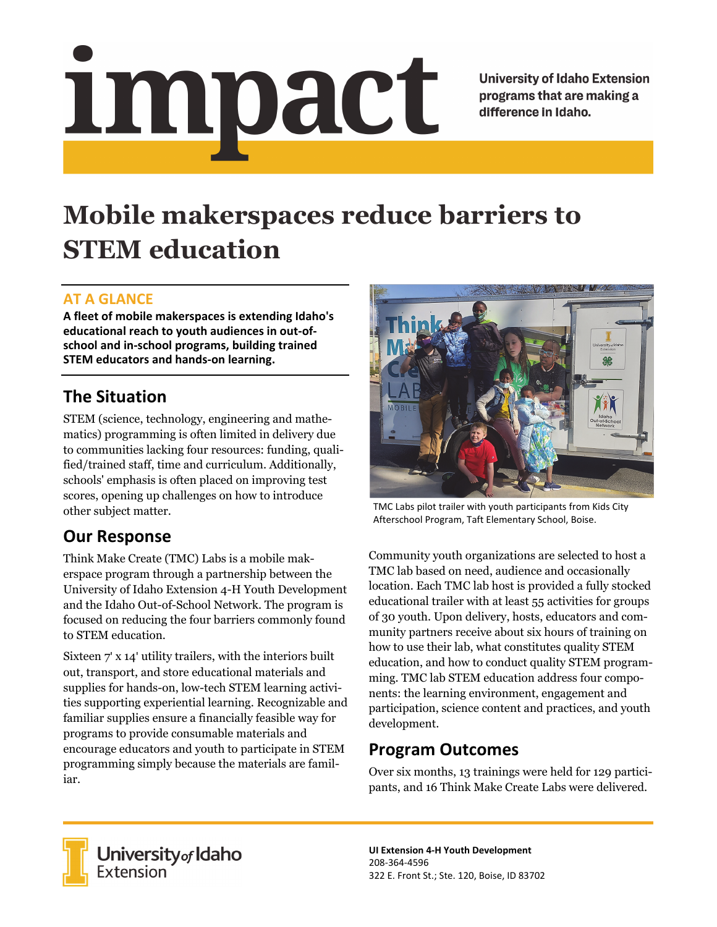# impact

**University of Idaho Extension** programs that are making a difference in Idaho.

# **Mobile makerspaces reduce barriers to STEM education**

#### **AT A GLANCE**

**A fleet of mobile makerspaces is extending Idaho's educational reach to youth audiences in out‐of‐ school and in‐school programs, building trained STEM educators and hands‐on learning.**

## **The Situation**

STEM (science, technology, engineering and mathematics) programming is often limited in delivery due to communities lacking four resources: funding, qualified/trained staff, time and curriculum. Additionally, schools' emphasis is often placed on improving test scores, opening up challenges on how to introduce other subject matter.

## **Our Response**

Think Make Create (TMC) Labs is a mobile makerspace program through a partnership between the University of Idaho Extension 4-H Youth Development and the Idaho Out-of-School Network. The program is focused on reducing the four barriers commonly found to STEM education.

Sixteen 7' x 14' utility trailers, with the interiors built out, transport, and store educational materials and supplies for hands-on, low-tech STEM learning activities supporting experiential learning. Recognizable and familiar supplies ensure a financially feasible way for programs to provide consumable materials and encourage educators and youth to participate in STEM programming simply because the materials are familiar.



TMC Labs pilot trailer with youth participants from Kids City Afterschool Program, Taft Elementary School, Boise.

Community youth organizations are selected to host a TMC lab based on need, audience and occasionally location. Each TMC lab host is provided a fully stocked educational trailer with at least 55 activities for groups of 30 youth. Upon delivery, hosts, educators and community partners receive about six hours of training on how to use their lab, what constitutes quality STEM education, and how to conduct quality STEM programming. TMC lab STEM education address four components: the learning environment, engagement and participation, science content and practices, and youth development.

#### **Program Outcomes**

Over six months, 13 trainings were held for 129 participants, and 16 Think Make Create Labs were delivered.



**University** of Idaho<br>Extension

**UI Extension 4‐H Youth Development** 208‐364‐4596 322 E. Front St.; Ste. 120, Boise, ID 83702